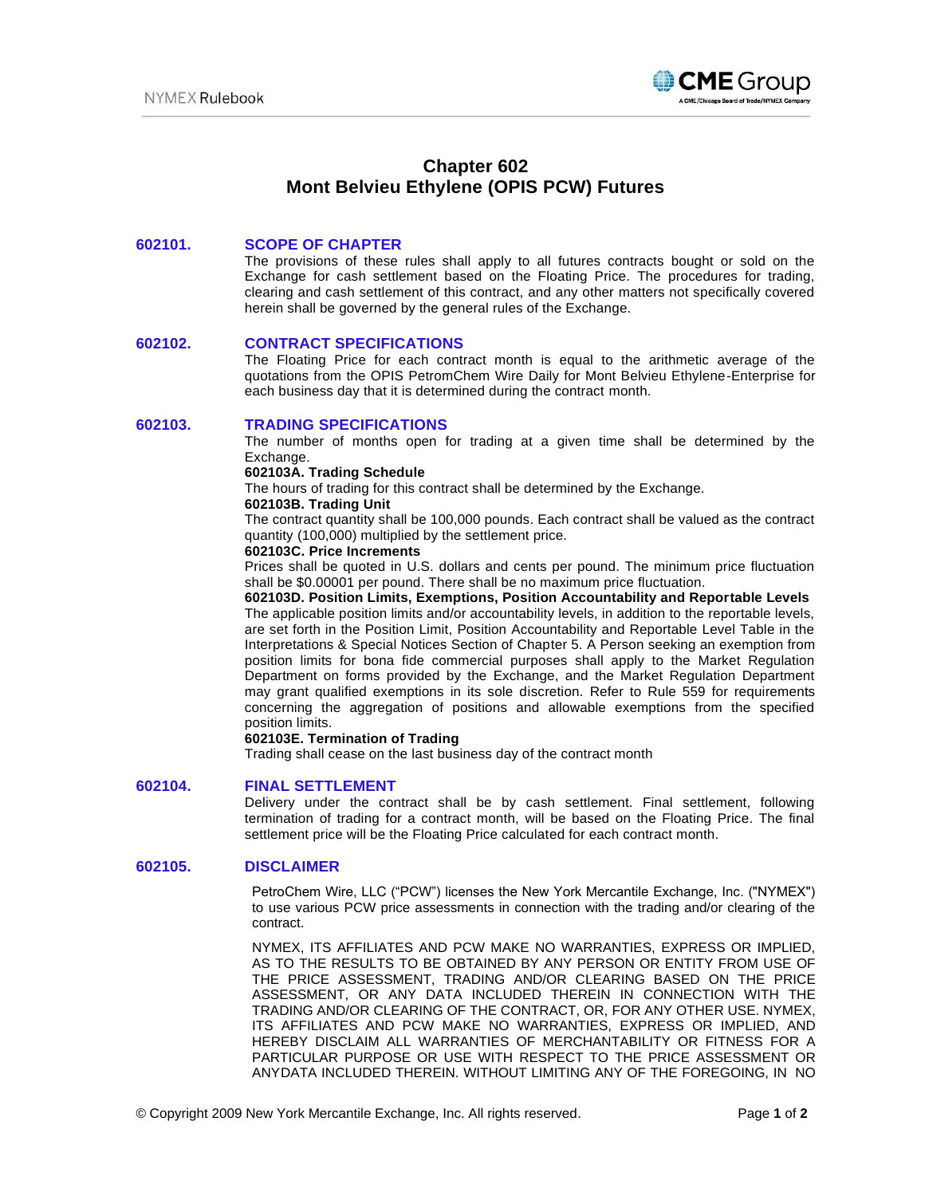

# **Chapter 602 Mont Belvieu Ethylene (OPIS PCW) Futures**

# **602101. SCOPE OF CHAPTER**

The provisions of these rules shall apply to all futures contracts bought or sold on the Exchange for cash settlement based on the Floating Price. The procedures for trading, clearing and cash settlement of this contract, and any other matters not specifically covered herein shall be governed by the general rules of the Exchange.

# **602102. CONTRACT SPECIFICATIONS**

The Floating Price for each contract month is equal to the arithmetic average of the quotations from the OPIS PetromChem Wire Daily for Mont Belvieu Ethylene-Enterprise for each business day that it is determined during the contract month.

### **602103. TRADING SPECIFICATIONS**

The number of months open for trading at a given time shall be determined by the Exchange.

#### **602103A. Trading Schedule**

The hours of trading for this contract shall be determined by the Exchange.

#### **602103B. Trading Unit**

The contract quantity shall be 100,000 pounds. Each contract shall be valued as the contract quantity (100,000) multiplied by the settlement price.

# **602103C. Price Increments**

Prices shall be quoted in U.S. dollars and cents per pound. The minimum price fluctuation shall be \$0.00001 per pound. There shall be no maximum price fluctuation.

## **602103D. Position Limits, Exemptions, Position Accountability and Reportable Levels**

The applicable position limits and/or accountability levels, in addition to the reportable levels, are set forth in the Position Limit, Position Accountability and Reportable Level Table in the Interpretations & Special Notices Section of Chapter 5. A Person seeking an exemption from position limits for bona fide commercial purposes shall apply to the Market Regulation Department on forms provided by the Exchange, and the Market Regulation Department may grant qualified exemptions in its sole discretion. Refer to Rule 559 for requirements concerning the aggregation of positions and allowable exemptions from the specified position limits.

#### **602103E. Termination of Trading**

Trading shall cease on the last business day of the contract month

#### **602104. FINAL SETTLEMENT**

Delivery under the contract shall be by cash settlement. Final settlement, following termination of trading for a contract month, will be based on the Floating Price. The final settlement price will be the Floating Price calculated for each contract month.

# **602105. DISCLAIMER**

PetroChem Wire, LLC ("PCW") licenses the New York Mercantile Exchange, Inc. ("NYMEX") to use various PCW price assessments in connection with the trading and/or clearing of the contract.

NYMEX, ITS AFFILIATES AND PCW MAKE NO WARRANTIES, EXPRESS OR IMPLIED, AS TO THE RESULTS TO BE OBTAINED BY ANY PERSON OR ENTITY FROM USE OF THE PRICE ASSESSMENT, TRADING AND/OR CLEARING BASED ON THE PRICE ASSESSMENT, OR ANY DATA INCLUDED THEREIN IN CONNECTION WITH THE TRADING AND/OR CLEARING OF THE CONTRACT, OR, FOR ANY OTHER USE. NYMEX, ITS AFFILIATES AND PCW MAKE NO WARRANTIES, EXPRESS OR IMPLIED, AND HEREBY DISCLAIM ALL WARRANTIES OF MERCHANTABILITY OR FITNESS FOR A PARTICULAR PURPOSE OR USE WITH RESPECT TO THE PRICE ASSESSMENT OR ANYDATA INCLUDED THEREIN. WITHOUT LIMITING ANY OF THE FOREGOING, IN NO